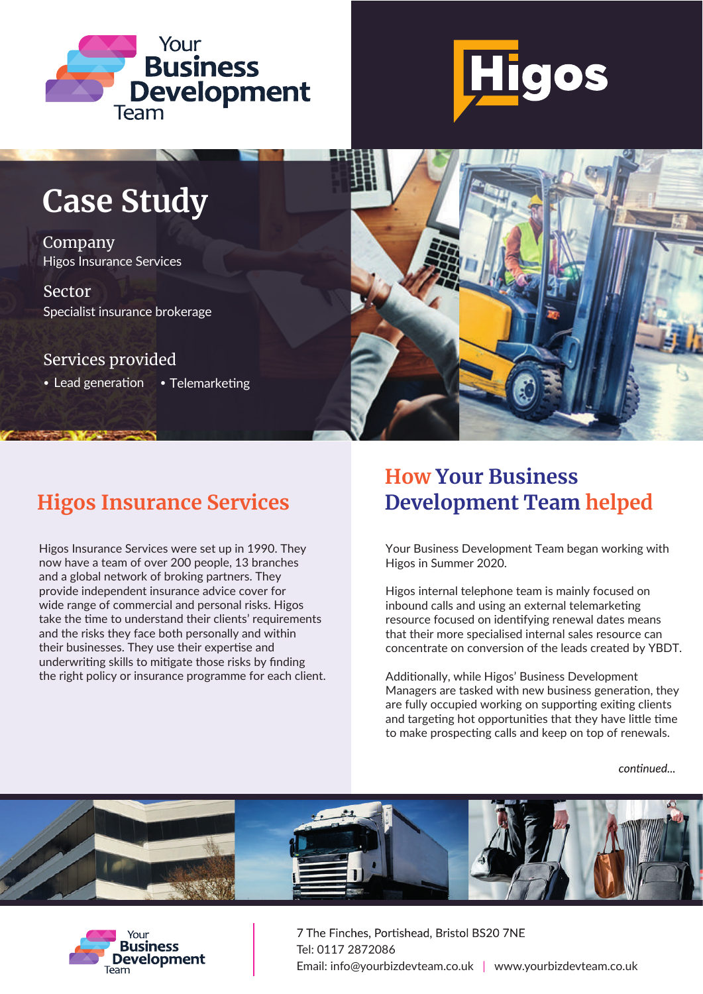



# **Case Study**

Company Higos Insurance Services

Sector Specialist insurance brokerage

Services provided

• Lead generation • Telemarketing



Higos Insurance Services were set up in 1990. They now have a team of over 200 people, 13 branches and a global network of broking partners. They provide independent insurance advice cover for wide range of commercial and personal risks. Higos take the time to understand their clients' requirements and the risks they face both personally and within their businesses. They use their expertise and underwriting skills to mitigate those risks by finding the right policy or insurance programme for each client.

## **How Your Business Higos Insurance Services Development Team helped**

Your Business Development Team began working with Higos in Summer 2020.

Higos internal telephone team is mainly focused on inbound calls and using an external telemarketing resource focused on identifying renewal dates means that their more specialised internal sales resource can concentrate on conversion of the leads created by YBDT.

Additionally, while Higos' Business Development Managers are tasked with new business generation, they are fully occupied working on supporting exiting clients and targeting hot opportunities that they have little time to make prospecting calls and keep on top of renewals.

continued...





7 The Finches, Portishead, Bristol BS20 7NE Tel: 0117 2872086 Email: info@yourbizdevteam.co.uk | www.yourbizdevteam.co.uk